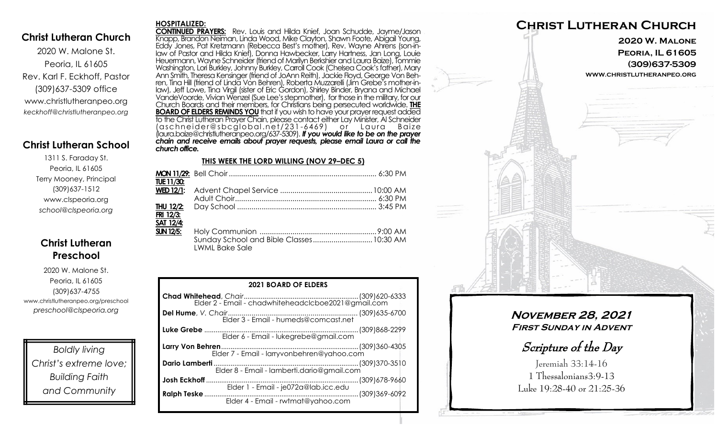## **Christ Lutheran Church**

2020 W. Malone St. Peoria, IL 61605 Rev. Karl F. Eckhoff, Pastor (309)637-5309 office www.christlutheranpeo.org *keckhoff@christlutheranpeo.org*

# **Christ Lutheran School**

1311 S. Faraday St. Peoria, IL 61605 Terry Mooney, Principal (309)637-1512 www.clspeoria.org *school@clspeoria.org*

# **Christ Lutheran Preschool**

2020 W. Malone St. Peoria, IL 61605 (309)637-4755 www.christlutheranpeo.org/preschool *preschool@clspeoria.org*

*Boldly living Christ's extreme love; Building Faith and Community*

#### **HOSPITALIZED:**

**CONTINUED PRAYERS:** Rev. Louis and Hilda Knief, Joan Schudde, Jayme/Jason Knapp, Brandon Neiman, Linda Wood, Mike Clayton, Shawn Foote, Abigail Young, Eddy Jones, Pat Kretzmann (Rebecca Best's mother), Rev. Wayne Ahrens (son-inlaw of Pastor and Hilda Knief), Donna Hawbecker, Larry Hartness, Jan Long, Louie Heuermann, Wayne Schneider (friend of Marilyn Berkshier and Laura Baize), Tommie Washington, Lori Burkley, Johnny Burkley, Carroll Cook (Chelsea Cook's father), Mary Ann Smith, Theresa Kensinger (friend of JoAnn Reith), Jackie Floyd, George Von Behren, Tina Hill (friend of Linda Von Behren), Roberta Muzzarelli (Jim Grebe's mother-inlaw), Jeff Lowe, Tina Virgil (sister of Eric Gordon), Shirley Binder, Bryana and Michael VandeVoorde, Vivian Wenzel (Sue Lee's stepmother), for those in the military, for our Church Boards and their members, for Christians being persecuted worldwide. **THE BOARD OF ELDERS REMINDS YOU** that if you wish to have your prayer request added to the Christ Lutheran Prayer Chain, please contact either Lay Minister, Al Schneider (aschn ei der@sbcglo bal .net/231 -6469) o r L aura B aize (laura.baize@christlutheranpeo.org/637-5309). *If you would like to be on the prayer chain and receive emails about prayer requests, please email Laura or call the church office.*

### **THIS WEEK THE LORD WILLING (NOV 29–DEC 5)**

| TUE 11/30:       |                                                                   |  |
|------------------|-------------------------------------------------------------------|--|
|                  |                                                                   |  |
|                  |                                                                   |  |
|                  |                                                                   |  |
| FRI 12/3:        |                                                                   |  |
| <b>SAT 12/4:</b> |                                                                   |  |
| <b>SUN 12/5:</b> |                                                                   |  |
|                  | Sunday School and Bible Classes 10:30 AM<br><b>LWML Bake Sale</b> |  |

| <b>2021 BOARD OF ELDERS</b>                       |  |  |  |
|---------------------------------------------------|--|--|--|
|                                                   |  |  |  |
|                                                   |  |  |  |
|                                                   |  |  |  |
| Elder 7 - Email - larryvonbehren@yahoo.com        |  |  |  |
| Elder 8 - Email - lamberti.dario@gmail.com        |  |  |  |
| Elder 1 - Email - je072a@lab.icc.edu              |  |  |  |
| Ralph Teske<br>Elder 4 - Email - rwtmat@yahoo.com |  |  |  |



# **November 28, 2021 First Sunday in Advent**

Scripture of the Day

Jeremiah 33:14-16 1 Thessalonians3:9-13 Luke 19:28-40 or 21:25-36